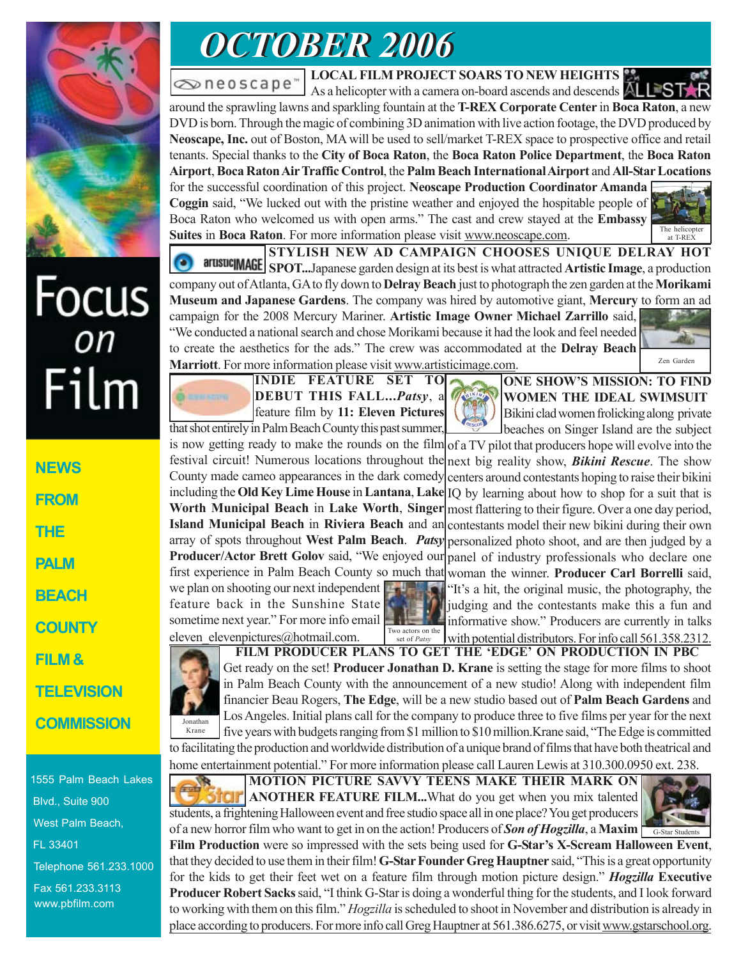

# Focus<br><sub>on</sub> Film

**NEWS FROM THE PALM BEACH COUNTY FILM & TELEVISION COMMISSION**

1555 Palm Beach Lakes Blvd., Suite 900 West Palm Beach, FL 33401 Telephone 561.233.1000 Fax 561.233.3113 www.pbfilm.com

## *OCTOBER 2006 OCTOBER 2006*

oneoscape"

**LOCAL FILM PROJECT SOARS TO NEW HEIGHTS**

As a helicopter with a camera on-board ascends and descends A around the sprawling lawns and sparkling fountain at the **T-REX Corporate Center** in **Boca Raton**, a new DVD is born. Through the magic of combining 3D animation with live action footage, the DVD produced by **Neoscape, Inc.** out of Boston, MA will be used to sell/market T-REX space to prospective office and retail tenants. Special thanks to the **City of Boca Raton**, the **Boca Raton Police Department**, the **Boca Raton Airport**, **Boca Raton Air Traffic Control**, the **Palm Beach International Airport** and **All-Star Locations** for the successful coordination of this project. **Neoscape Production Coordinator Amanda Coggin** said, "We lucked out with the pristine weather and enjoyed the hospitable people of Boca Raton who welcomed us with open arms." The cast and crew stayed at the **Embassy Suites** in **Boca Raton**. For more information please visit www.neoscape.com.

The helicopter at T-REX **STYLISH NEW AD CAMPAIGN CHOOSES UNIQUE DELRAY HOT SPOT...**Japanese garden design at its best is what attracted **Artistic Image**, a production company out of Atlanta, GA to fly down to **Delray Beach** just to photograph the zen garden at the **Morikami**

**Museum and Japanese Gardens**. The company was hired by automotive giant, **Mercury** to form an ad campaign for the 2008 Mercury Mariner. **Artistic Image Owner Michael Zarrillo** said, "We conducted a national search and chose Morikami because it had the look and feel needed to create the aesthetics for the ads." The crew was accommodated at the **Delray Beach Marriott**. For more information please visit www.artisticimage.com.



**INDIE FEATURE SET TO DEBUT THIS FALL...***Patsy*, feature film by **11: Eleven Pictures** that shot entirely in Palm Beach County this past summer,



**ONE SHOW'S MISSION: TO FIND WOMEN THE IDEAL SWIMSUIT** Bikini clad women frolicking along private beaches on Singer Island are the subject

is now getting ready to make the rounds on the film  $of a TV$  pilot that producers hope will evolve into the festival circuit! Numerous locations throughout the next big reality show, *Bikini Rescue*. The show County made cameo appearances in the dark comedy including the **Old Key Lime House** in **Lantana**, **Lake Worth Municipal Beach** in **Lake Worth**, **Singer Island Municipal Beach** in **Riviera Beach** and an array of spots throughout **West Palm Beach**. *Patsy* personalized photo shoot, and are then judged by a **Producer/Actor Brett Golov** said, "We enjoyed our first experience in Palm Beach County so much that woman the winner. **Producer Carl Borrelli** said, we plan on shooting our next independent feature back in the Sunshine State sometime next year." For more info email centers around contestants hoping to raise their bikini IQ by learning about how to shop for a suit that is most flattering to their figure. Over a one day period, contestants model their new bikini during their own panel of industry professionals who declare one "It's a hit, the original music, the photography, the judging and the contestants make this a fun and informative show." Producers are currently in talks

eleven elevenpictures@hotmail.com. with potential distributors. For info call 561.358.2312. set of *Patsy* **FILM PRODUCER PLANS TO GET THE 'EDGE' ON PRODUCTION IN PBC** Get ready on the set! **Producer Jonathan D. Krane** is setting the stage for more films to shoot in Palm Beach County with the announcement of a new studio! Along with independent film financier Beau Rogers, **The Edge**, will be a new studio based out of **Palm Beach Gardens** and Los Angeles. Initial plans call for the company to produce three to five films per year for the next five years with budgets ranging from \$1 million to \$10 million.Krane said, "The Edge is committed to facilitating the production and worldwide distribution of a unique brand of films that have both theatrical and home entertainment potential." For more information please call Lauren Lewis at 310.300.0950 ext. 238. Jonathan Krane

**MOTION PICTURE SAVVY TEENS MAKE THEIR MARK ON ANOTHER FEATURE FILM...**What do you get when you mix talented students, a frightening Halloween event and free studio space all in one place? You get producers of a new horror film who want to get in on the action! Producers of *Son of Hogzilla*, a **Maxim**

Two actors on the



**Film Production** were so impressed with the sets being used for **G-Star's X-Scream Halloween Event**, that they decided to use them in their film! **G-Star Founder Greg Hauptner** said, "This is a great opportunity for the kids to get their feet wet on a feature film through motion picture design." *Hogzilla* **Executive Producer Robert Sacks** said, "I think G-Star is doing a wonderful thing for the students, and I look forward to working with them on this film." *Hogzilla* is scheduled to shoot in November and distribution is already in place according to producers. For more info call Greg Hauptner at 561.386.6275, or visit www.gstarschool.org.